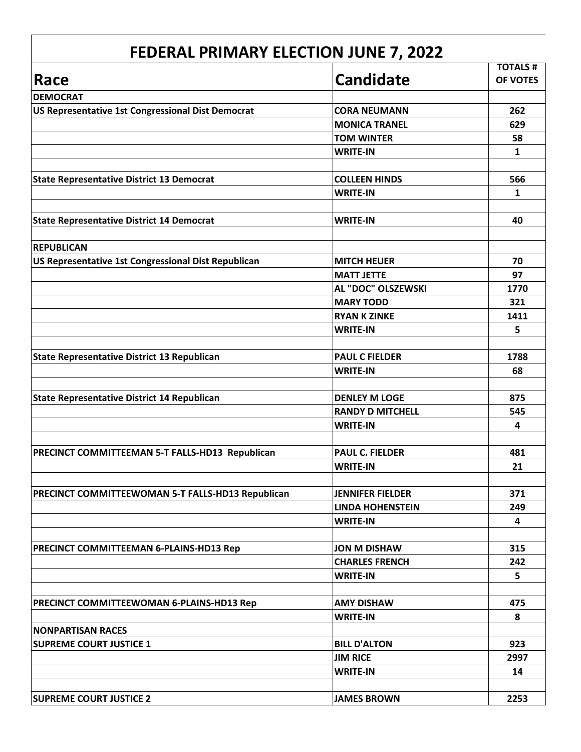| Race                                                |                         | <b>TOTALS#</b> |
|-----------------------------------------------------|-------------------------|----------------|
|                                                     | <b>Candidate</b>        | OF VOTES       |
| <b>DEMOCRAT</b>                                     |                         |                |
| US Representative 1st Congressional Dist Democrat   | <b>CORA NEUMANN</b>     | 262            |
|                                                     | <b>MONICA TRANEL</b>    | 629            |
|                                                     | <b>TOM WINTER</b>       | 58             |
|                                                     | <b>WRITE-IN</b>         | 1              |
| <b>State Representative District 13 Democrat</b>    | <b>COLLEEN HINDS</b>    | 566            |
|                                                     | <b>WRITE-IN</b>         | $\mathbf{1}$   |
| <b>State Representative District 14 Democrat</b>    | <b>WRITE-IN</b>         | 40             |
| <b>REPUBLICAN</b>                                   |                         |                |
| US Representative 1st Congressional Dist Republican | <b>MITCH HEUER</b>      | 70             |
|                                                     | <b>MATT JETTE</b>       | 97             |
|                                                     | AL "DOC" OLSZEWSKI      | 1770           |
|                                                     | <b>MARY TODD</b>        | 321            |
|                                                     | <b>RYAN K ZINKE</b>     | 1411           |
|                                                     | <b>WRITE-IN</b>         | 5              |
| <b>State Representative District 13 Republican</b>  | <b>PAUL C FIELDER</b>   | 1788           |
|                                                     | <b>WRITE-IN</b>         | 68             |
| <b>State Representative District 14 Republican</b>  | <b>DENLEY M LOGE</b>    | 875            |
|                                                     | <b>RANDY D MITCHELL</b> | 545            |
|                                                     | <b>WRITE-IN</b>         | 4              |
|                                                     |                         |                |
| PRECINCT COMMITTEEMAN 5-T FALLS-HD13 Republican     | <b>PAUL C. FIELDER</b>  | 481            |
|                                                     | <b>WRITE-IN</b>         | 21             |
| PRECINCT COMMITTEEWOMAN 5-T FALLS-HD13 Republican   | <b>JENNIFER FIELDER</b> | 371            |
|                                                     | <b>LINDA HOHENSTEIN</b> | 249            |
|                                                     | <b>WRITE-IN</b>         | 4              |
| PRECINCT COMMITTEEMAN 6-PLAINS-HD13 Rep             | <b>JON M DISHAW</b>     | 315            |
|                                                     | <b>CHARLES FRENCH</b>   | 242            |
|                                                     | <b>WRITE-IN</b>         | 5              |
|                                                     | <b>AMY DISHAW</b>       | 475            |
| PRECINCT COMMITTEEWOMAN 6-PLAINS-HD13 Rep           | <b>WRITE-IN</b>         | 8              |
| <b>NONPARTISAN RACES</b>                            |                         |                |
| <b>SUPREME COURT JUSTICE 1</b>                      | <b>BILL D'ALTON</b>     | 923            |
|                                                     | <b>JIM RICE</b>         | 2997           |
|                                                     | <b>WRITE-IN</b>         | 14             |
| <b>SUPREME COURT JUSTICE 2</b>                      | <b>JAMES BROWN</b>      | 2253           |
|                                                     |                         |                |